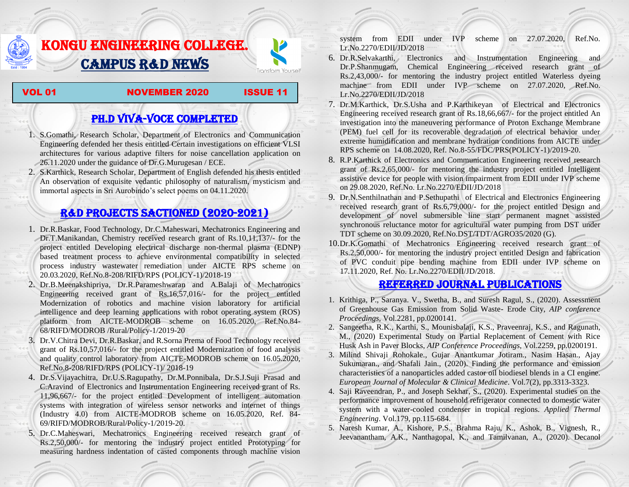# KONGU ENGINEERING COLLEGE. CAMPUS R&D NEWS



#### VOL 01 NOVEMBER 2020 ISSUE 11

## PH.D VIVA-VOCE COMPLETED

- 1. S.Gomathi, Research Scholar, Department of Electronics and Communication Engineering defended her thesis entitled Certain investigations on efficient VLSI architectures for various adaptive filters for noise cancellation application on 26.11.2020 under the guidance of Dr.G.Murugesan / ECE.
- 2. S.Karthick, Research Scholar, Department of English defended his thesis entitled An observation of exquisite vedantic philosophy of naturalism, mysticism and immortal aspects in Sri Aurobindo's select poems on 04.11.2020.

### R&D PROJECTS SACTIONED (2020-2021)

- 1. Dr.R.Baskar, Food Technology, Dr.C.Maheswari, Mechatronics Engineering and Dr.T.Manikandan, Chemistry received research grant of Rs.10,11,137/- for the project entitled Developing electrical discharge non-thermal plasma (EDNP) based treatment process to achieve environmental compatibility in selected process industry wastewater remediation under AICTE RPS scheme on 20.03.2020, Ref.No.8-208/RIFD/RPS (POLICY-1)/2018-19
- 2. Dr.B.Meenakshipriya, Dr.R.Parameshwaran and A.Balaji of Mechatronics Engineering received grant of Rs.16,57,016/- for the project entitled Modernization [of robotics and machine vision laboratory for artificial](http://rnd.kongu.edu/ractivities/mts/data/)  [intelligence and deep learning applications with robot operating system \(ROS\)](http://rnd.kongu.edu/ractivities/mts/data/)  [platform](http://rnd.kongu.edu/ractivities/mts/data/) from AICTE-MODROB scheme on 16.05.2020, Ref.No.84- 68/RIFD/MODROB /Rural/Policy-1/2019-20
- 3. Dr.V.Chitra Devi, Dr.R.Baskar, and R.Sorna Prema of Food Technology received grant of Rs.10,57,016/- for the project entitled Modernization of food analysis and quality control laboratory from AICTE-MODROB scheme on 16.05.2020, Ref.No.8-208/RIFD/RPS (POLICY-1)/ 2018-19
- 4. Dr.S.Vijayachitra, Dr.U.S.Ragupathy, Dr.M.Ponnibala, Dr.S.J.Suji Prasad and C.Aravind of Electronics and Instrumentation Engineering received grant of Rs. 11,96,667/- for the project entitled Development of intelligent automation systems with integration of wireless sensor networks and internet of things (Industry 4.0) from AICTE-MODROB scheme on 16.05.2020, Ref. 84- 69/RIFD/MODROB/Rural/Policy-1/2019-20.
- 5. Dr.C.Maheswari, Mechatronics Engineering received research grant of Rs.2,50,000/- for mentoring the industry project entitled [Prototyping for](http://rnd.kongu.edu/ractivities/mts/data/)  [measuring hardness indentation of casted components through machine vision](http://rnd.kongu.edu/ractivities/mts/data/)

[system](http://rnd.kongu.edu/ractivities/mts/data/) from EDII under IVP scheme on 27.07.2020, Ref.No. Lr.No.2270/EDII/JD/2018

- 6. Dr.R.Selvakarthi, Electronics and Instrumentation Engineering and Dr.P.Shanmugam, Chemical Engineering received research grant of Rs.2,43,000/- for mentoring the industry project entitled Waterless dyeing machine from EDII under IVP scheme on 27.07.2020, Ref.No. Lr.No.2270/EDII/JD/2018
- 7. Dr.M.Karthick, Dr.S.Usha and P.Karthikeyan of Electrical and Electronics Engineering received research grant of Rs.18,66,667/- for the project entitled An investigation into the maneuvering performance of Proton Exchange Membrane (PEM) fuel cell for its recoverable degradation of electrical behavior under extreme humidification and membrane hydration conditions from AICTE under RPS scheme on 14.08.2020, Ref. No.8-55/FDC/PRS(POLICY-1)/2019-20.
- 8. R.P.Karthick of Electronics and Communication Engineering received research grant of Rs.2,65,000/- for mentoring the industry project entitled Intelligent assistive device for people with vision impairment from EDII under IVP scheme on 29.08.2020, Ref.No. Lr.No.2270/EDII/JD/2018
- 9. Dr.N.Senthilnathan and P.Sethupathi of Electrical and Electronics Engineering received research grant of Rs.6,79,000/- for the project entitled Design and development of novel submersible line start permanent magnet assisted synchronous reluctance motor for agricultural water pumping from DST under TDT scheme on 30.09.2020, Ref.No.DST/TDT/AGRO35/2020 (G).
- 10.Dr.K.Gomathi of Mechatronics Engineering received research grant of Rs.2,50,000/- for mentoring the industry project entitled Design and fabrication of PVC conduit pipe bending machine from EDII under IVP scheme on 17.11.2020, Ref. No. Lr.No.2270/EDII/JD/2018.

### Referred JOURNAL publications

- 1. Krithiga, P., Saranya. V., Swetha, B., and Suresh Ragul, S., (2020). Assessment of Greenhouse Gas Emission from Solid Waste- Erode City, *AIP conference Proceedings*, Vol.2281, pp.0200141.
- 2. Sangeetha, R.K., Karthi, S., Mounisbalaji, K.S., Praveenraj, K.S., and Ragunath, M., (2020) Experimental Study on Partial Replacement of Cement with Rice Husk Ash in Paver Blocks, *AIP Conference Proceedings*, Vol.2259, pp.0200191.
- 3. Milind Shivaji Rohokale., Gujar Anantkumar Jotiram., Nasim Hasan., Ajay Sukumaran., and Shafali Jain., (2020). Finding the performance and emission characteristics of a nanoparticles added castor oil biodiesel blends in a CI engine. *European Journal of Molecular & Clinical Medicine*. Vol.7(2), pp.3313-3323.
- 4. Saji Raveendran, P., and Joseph Sekhar, S., (2020). Experimental studies on the performance improvement of household refrigerator connected to domestic water system with a water-cooled condenser in tropical regions. *Applied Thermal Engineering*. Vol.179, pp.115-684.
- 5. Naresh Kumar, A., Kishore, P.S., Brahma Raju, K., Ashok, B., Vignesh, R., Jeevanantham, A.K., Nanthagopal, K., and Tamilvanan, A., (2020). Decanol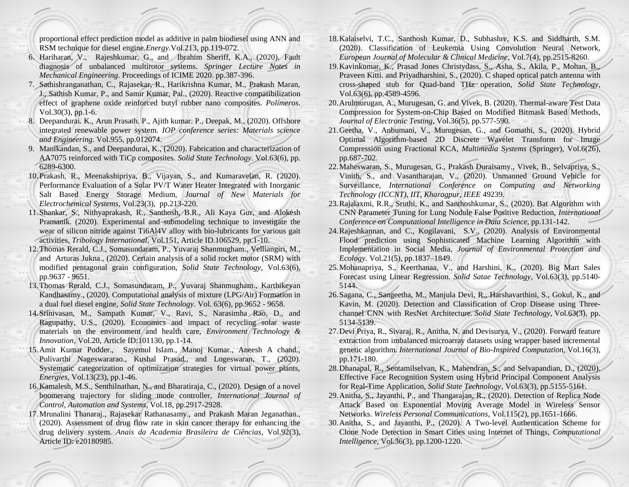proportional effect prediction model as additive in palm biodiesel using ANN and RSM technique for diesel engine.*Energy*.Vol.213, pp.119-072.

- 6. Hariharan, V., Rajeshkumar, G., and Ibrahim Sheriff, K.A., (2020). Fault diagnosis of unbalanced multirotor systems. *Springer Lecture Notes in Mechanical Engineering*. Proceedings of ICIME 2020. pp.387-396.
- 7. Sathishranganathan, C., Rajasekar, R., Harikrishna Kumar, M., Prakash Maran, J., Sathish Kumar, P., and Samir Kumar, Pal., (2020). Reactive compatibilization effect of graphene oxide reinforced butyl rubber nano composites. *Polímeros*. Vol.30(3), pp.1-6.
- 8. Deepandurai. K., Arun Prasath. P., Ajith kumar. P., Deepak, M., (2020). Offshore integrated renewable power system. *IOP conference series: Materials science and Engineering*. Vol.955, pp.012074.
- 9. Manikandan, S., and Deepandurai, K., (2020). Fabrication and characterization of AA7075 reinforced with TiCp composites*. Solid State Technology*. Vol.63(6), pp. 6289-6300.
- 10.Prakash, R., Meenakshipriya, B., Vijayan, S., and Kumaravelan, R. (2020). Performance Evaluation of a Solar PV/T Water Heater Integrated with Inorganic Salt Based Energy Storage Medium, *Journal of New Materials for Electrochemical Systems*, Vol.23(3), pp.213-220.
- 11.Shankar, S., Nithyaprakash, R., Santhosh, B.R., Ali Kaya Gur, and Alokesh Pramanik. (2020). Experimental and submodeling technique to investigate the wear of silicon nitride against Ti6Al4V alloy with bio-lubricants for various gait activities, *Tribology International*, Vol.151, Article ID.106529, pp.1-10.
- 12.Thomas Rerald, C.J., Somasundaram, P., Yuvaraj Shanmugham., Velliangiri, M., and Arturas Jukna., (2020). Certain analysis of a solid rocket motor (SRM) with modified pentagonal grain configuration, *Solid State Technology*, Vol.63(6), pp.9637 - 9651.
- 13.Thomas Rerald, C.J., Somasundaram, P., Yuvaraj Shanmugham., Karthikeyan Kandhasamy., (2020). Computational analysis of mixture (LPG/Air) Formation in a dual fuel diesel engine, *Solid State Technology.* Vol. 63(6), pp.9652 - 9658.
- 14.Srinivasan, M., Sampath Kumar, V., Ravi, S., Narasimha Rao, D., and Ragupathy, U.S., (2020). Economics and impact of recycling solar waste materials on the environment and health care, *Environment Technology & Innovation*, Vol.20, Article ID:101130, pp.1-14.
- 15.Amit Kumar Podder., Sayemul Islam., Manoj Kumar., Aneesh A chand., Pulivarthi Nageswararao., Kushal Prasad., and Logeswaran, T., (2020). Systematic categorization of optimization strategies for virtual power plants, *Energies*, Vol.13(23), pp.1-46.
- 16.Kamalesh, M.S., Senthilnathan, N., and Bharatiraja, C., (2020). Design of a novel boomerang trajectory for sliding mode controller, *International Journal of Control, Automation and Systems*, Vol.18, pp.2917-2928.
- 17.Mrunalini Thanaraj., Rajasekar Rathanasamy., and Prakash Maran Jeganathan., (2020). Assessment of drug flow rate in skin cancer therapy for enhancing the drug delivery system. *Anais da Academia Brasileira de Ciências*, Vol.92(3), Article ID: e20180985.
- 18.Kalaiselvi, T.C., Santhosh Kumar, D., Subhashre, K.S. and Siddharth, S.M. (2020). Classification of Leukemia Using Convolution Neural Network, *European Journal of Molecular & Clinical Medicine*, Vol.7(4), pp.2515-8260.
- 19.Kavinkumar, K., Prasad Jones Christydass, S., Asha, S., Akila, P., Mohan, B., Praveen Kitti. and Priyadharshini, S., (2020). C shaped optical patch antenna with cross-shaped stub for Quad-band THz operation, *Solid State Technology*, Vol.63(6), pp.4589-4596.
- 20.Arulmurugan, A., Murugesan, G. and Vivek, B. (2020). Thermal-aware Test Data Compression for System-on-Chip Based on Modified Bitmask Based Methods, *Journal of Electronic Testing*, Vol.36(5), pp.577-590.
- 21.Geetha, V., Anbumani, V., Murugesan, G., and Gomathi, S., (2020). Hybrid Optimal Algorithm-based 2D Discrete Wavelet Transform for Image Compression using Fractional KCA, *Multimedia Systems* (Springer), Vol.6(26), pp.687-702.
- 22.Maheswaran, S., Murugesan, G., Prakash Duraisamy., Vivek, B., Selvapriya, S., Vinith, S., and Vasantharajan, V., (2020). Unmanned Ground Vehicle for Surveillance, *International Conference on Computing and Networking Technology (ICCNT), IIT, Kharagpur, IEEE* 49239.
- 23.Rajalaxmi, R.R., Sruthi, K., and Santhoshkumar, S., (2020). Bat Algorithm with CNN Parameter Tuning for Lung Nodule False Positive Reduction, *International Conference on Computational Intelligence in Data Science*, pp.131-142.
- 24.Rajeshkannan, and C., Kogilavani, S.V., (2020). Analysis of Environmental Flood prediction using Sophisticated Machine Learning Algorithm with Implementation in Social Media, *Journal of Environmental Protection and Ecology.* Vol.21(5), pp.1837–1849.
- 25.Mohanapriya, S., Keerthanaa, V., and Harshini, K., (2020). Big Mart Sales Forecast using Linear Regression. *Solid Satae Technology*, Vol.63(3), pp.5140- 5144.
- 26.Sagana, C., Sangeetha, M., Manjula Devi, R., Harshavarthini, S., Gokul, K., and Kavin, M. (2020). Detection and Classification of Crop Disease using Threechannel CNN with ResNet Architecture. *Solid State Technology*, Vol.63(3), pp. 5134-5139.
- 27.Devi Priya, R., Sivaraj, R., Anitha, N. and Devisurya, V., (2020). Forward feature extraction from imbalanced microarray datasets using wrapper based incremental genetic algorithm. *International Journal of Bio-Inspired Computation*, Vol.16(3), pp.171-180.
- 28.Dhanapal, R., Sentamilselvan, K., Mahendran, S., and Selvapandian, D., (2020). Effective Face Recognition System using Hybrid Principal Component Analysis for Real-Time Application, *Solid State Technology*, Vol.63(3), pp.5155-5161.
- 29.Anitha, S., Jayanthi, P., and Thangarajan, R., (2020). Detection of Replica Node Attack Based on Exponential Moving Average Model in Wireless Sensor Networks. *Wireless Personal Communications*, Vol.115(2), pp.1651-1666.
- 30.Anitha, S., and Jayanthi, P., (2020). A Two-level Authentication Scheme for Clone Node Detection in Smart Cities using Internet of Things, *Computational Intelligence*, Vol.36(3), pp.1200-1220.